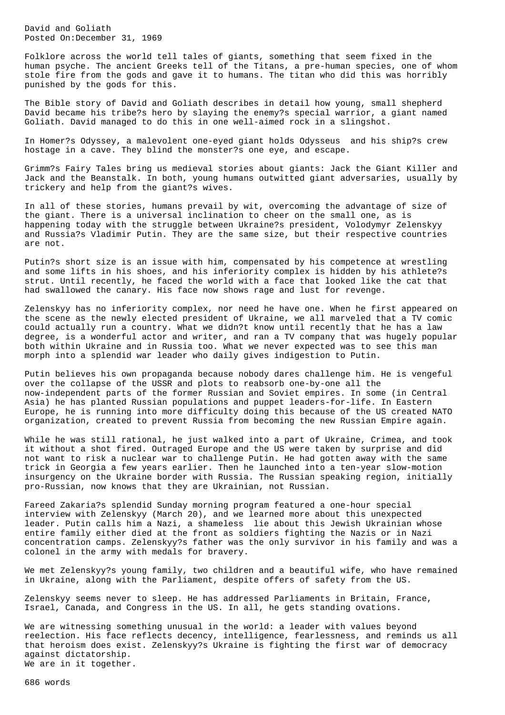David and Goliath Posted On:December 31, 1969

Folklore across the world tell tales of giants, something that seem fixed in the human psyche. The ancient Greeks tell of the Titans, a pre-human species, one of whom stole fire from the gods and gave it to humans. The titan who did this was horribly punished by the gods for this.

The Bible story of David and Goliath describes in detail how young, small shepherd David became his tribe?s hero by slaying the enemy?s special warrior, a giant named Goliath. David managed to do this in one well-aimed rock in a slingshot.

In Homer?s Odyssey, a malevolent one-eyed giant holds Odysseus and his ship?s crew hostage in a cave. They blind the monster?s one eye, and escape.

Grimm?s Fairy Tales bring us medieval stories about giants: Jack the Giant Killer and Jack and the Beanstalk. In both, young humans outwitted giant adversaries, usually by trickery and help from the giant?s wives.

In all of these stories, humans prevail by wit, overcoming the advantage of size of the giant. There is a universal inclination to cheer on the small one, as is happening today with the struggle between Ukraine?s president, Volodymyr Zelenskyy and Russia?s Vladimir Putin. They are the same size, but their respective countries are not.

Putin?s short size is an issue with him, compensated by his competence at wrestling and some lifts in his shoes, and his inferiority complex is hidden by his athlete?s strut. Until recently, he faced the world with a face that looked like the cat that had swallowed the canary. His face now shows rage and lust for revenge.

Zelenskyy has no inferiority complex, nor need he have one. When he first appeared on the scene as the newly elected president of Ukraine, we all marveled that a TV comic could actually run a country. What we didn?t know until recently that he has a law degree, is a wonderful actor and writer, and ran a TV company that was hugely popular both within Ukraine and in Russia too. What we never expected was to see this man morph into a splendid war leader who daily gives indigestion to Putin.

Putin believes his own propaganda because nobody dares challenge him. He is vengeful over the collapse of the USSR and plots to reabsorb one-by-one all the now-independent parts of the former Russian and Soviet empires. In some (in Central Asia) he has planted Russian populations and puppet leaders-for-life. In Eastern Europe, he is running into more difficulty doing this because of the US created NATO organization, created to prevent Russia from becoming the new Russian Empire again.

While he was still rational, he just walked into a part of Ukraine, Crimea, and took it without a shot fired. Outraged Europe and the US were taken by surprise and did not want to risk a nuclear war to challenge Putin. He had gotten away with the same trick in Georgia a few years earlier. Then he launched into a ten-year slow-motion insurgency on the Ukraine border with Russia. The Russian speaking region, initially pro-Russian, now knows that they are Ukrainian, not Russian.

Fareed Zakaria?s splendid Sunday morning program featured a one-hour special interview with Zelenskyy (March 20), and we learned more about this unexpected leader. Putin calls him a Nazi, a shameless lie about this Jewish Ukrainian whose entire family either died at the front as soldiers fighting the Nazis or in Nazi concentration camps. Zelenskyy?s father was the only survivor in his family and was a colonel in the army with medals for bravery.

We met Zelenskyy?s young family, two children and a beautiful wife, who have remained in Ukraine, along with the Parliament, despite offers of safety from the US.

Zelenskyy seems never to sleep. He has addressed Parliaments in Britain, France, Israel, Canada, and Congress in the US. In all, he gets standing ovations.

We are witnessing something unusual in the world: a leader with values beyond reelection. His face reflects decency, intelligence, fearlessness, and reminds us all that heroism does exist. Zelenskyy?s Ukraine is fighting the first war of democracy against dictatorship. We are in it together.

686 words